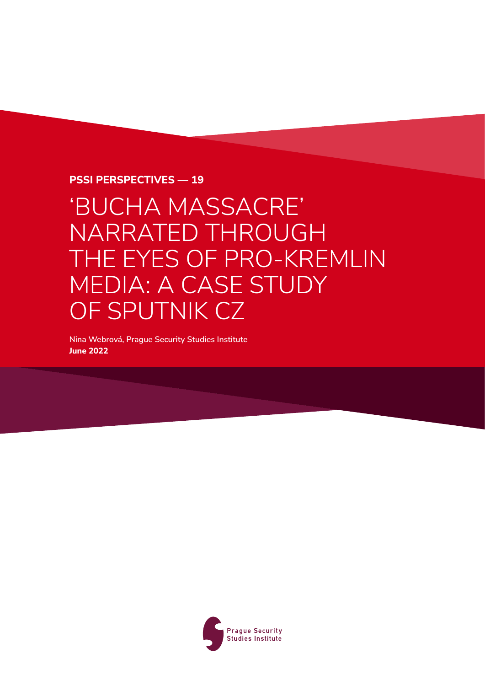#### **PSSI Perspectives — 19**

# 'BUCHA MASSACRE' NARRATED THROUGH THE EYES OF PRO-KREMLIN MEDIA: A CASE STUDY OF SPUTNIK CZ

**Nina Webrová, Prague Security Studies Institute June 2022**

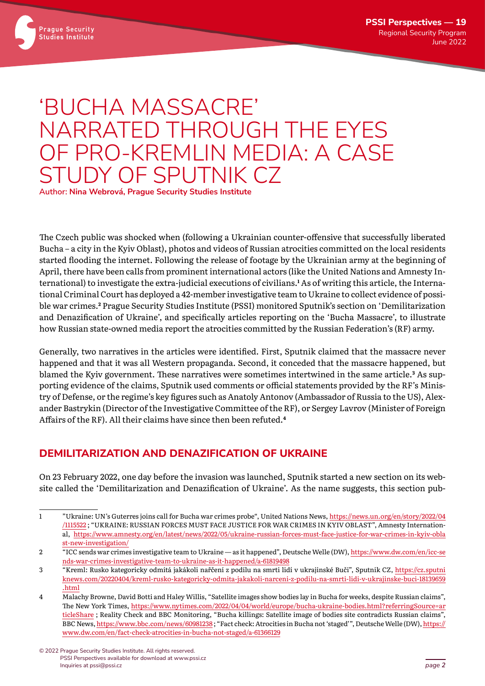



**Prague Security Studies Institute** 

The Czech public was shocked when (following a Ukrainian counter-offensive that successfully liberated Bucha – a city in the Kyiv Oblast), photos and videos of Russian atrocities committed on the local residents started flooding the internet. Following the release of footage by the Ukrainian army at the beginning of April, there have been calls from prominent international actors (like the United Nations and Amnesty International) to investigate the extra-judicial executions of civilians.**<sup>1</sup>** As of writing this article, the International Criminal Court has deployed a 42-member investigative team to Ukraine to collect evidence of possible war crimes.**<sup>2</sup>** Prague Security Studies Institute (PSSI) monitored Sputnik's section on 'Demilitarization and Denazification of Ukraine', and specifically articles reporting on the 'Bucha Massacre', to illustrate how Russian state-owned media report the atrocities committed by the Russian Federation's (RF) army.

Generally, two narratives in the articles were identified. First, Sputnik claimed that the massacre never happened and that it was all Western propaganda. Second, it conceded that the massacre happened, but blamed the Kyiv government. These narratives were sometimes intertwined in the same article.**<sup>3</sup>** As supporting evidence of the claims, Sputnik used comments or official statements provided by the RF's Ministry of Defense, or the regime's key figures such as Anatoly Antonov (Ambassador of Russia to the US), Alexander Bastrykin (Director of the Investigative Committee of the RF), or Sergey Lavrov (Minister of Foreign Affairs of the RF). All their claims have since then been refuted.**<sup>4</sup>**

## **DEMILITARIZATION AND DENAZIFICATION OF UKRAINE**

On 23 February 2022, one day before the invasion was launched, Sputnik started a new section on its website called the 'Demilitarization and Denazification of Ukraine'. As the name suggests, this section pub-

<sup>1</sup> "Ukraine: UN's Guterres joins call for Bucha war crimes probe", United Nations News, https:/[/news.un.org](https://news.un.org/en/story/2022/04/1115522)/en/story/2022/04 /[1115522](https://news.un.org/en/story/2022/04/1115522) ; "UKRAINE: RUSSIAN FORCES MUST FACE JUSTICE FOR WAR CRIMES IN KYIV OBLAST", Amnesty International, https://www.amnesty.org/en/latest/news/2022/05/[ukraine-russian-forces-must-face-justice-for-war-crimes-in-kyiv-obla](https://www.amnesty.org/en/latest/news/2022/05/ukraine-russian-forces-must-face-justice-for-war-crimes-in-kyiv-oblast-new-investigation/) [st-new-investigation](https://www.amnesty.org/en/latest/news/2022/05/ukraine-russian-forces-must-face-justice-for-war-crimes-in-kyiv-oblast-new-investigation/)/

<sup>2</sup> "ICC sends war crimes investigative team to Ukraine — as it happened", Deutsche Welle (DW), https:/[/www.dw.com](https://www.dw.com/en/icc-sends-war-crimes-investigative-team-to-ukraine-as-it-happened/a-61819498)/en/icc-se [nds-war-crimes-investigative-team-to-ukraine-as-it-happened](https://www.dw.com/en/icc-sends-war-crimes-investigative-team-to-ukraine-as-it-happened/a-61819498)/a-61819498

<sup>3</sup> "Kreml: Rusko kategoricky odmítá jakákoli nařčení z podílu na smrti lidí v ukrajinské Buči", Sputnik CZ, https:/[/cz.sputni](https://cz.sputniknews.com/20220404/kreml-rusko-kategoricky-odmita-jakakoli-narceni-z-podilu-na-smrti-lidi-v-ukrajinske-buci-18139659.html) knews.com/20220404/[kreml-rusko-kategoricky-odmita-jakakoli-narceni-z-podilu-na-smrti-lidi-v-ukrajinske-buci-18139659](https://cz.sputniknews.com/20220404/kreml-rusko-kategoricky-odmita-jakakoli-narceni-z-podilu-na-smrti-lidi-v-ukrajinske-buci-18139659.html) [.html](https://cz.sputniknews.com/20220404/kreml-rusko-kategoricky-odmita-jakakoli-narceni-z-podilu-na-smrti-lidi-v-ukrajinske-buci-18139659.html)

<sup>4</sup> Malachy Browne, David Botti and Haley Willis, "Satellite images show bodies lay in Bucha for weeks, despite Russian claims", The New York Times, https://www.nytimes.com/2022/04/04/world/europe/[bucha-ukraine-bodies.html](https://www.nytimes.com/2022/04/04/world/europe/bucha-ukraine-bodies.html?referringSource=articleShare)?referringSource=ar [ticleShare](https://www.nytimes.com/2022/04/04/world/europe/bucha-ukraine-bodies.html?referringSource=articleShare) ; Reality Check and BBC Monitoring, "Bucha killings: Satellite image of bodies site contradicts Russian claims", BBC News, https:/[/www.bbc.com](https://www.bbc.com/news/60981238)/news/60981238 ; "Fact check: Atrocities in Bucha not 'staged'", Deutsche Welle (DW), [https:](https://www.dw.com/en/fact-check-atrocities-in-bucha-not-staged/a-61366129)// www.dw.com/en/[fact-check-atrocities-in-bucha-not-staged](https://www.dw.com/en/fact-check-atrocities-in-bucha-not-staged/a-61366129)/a-61366129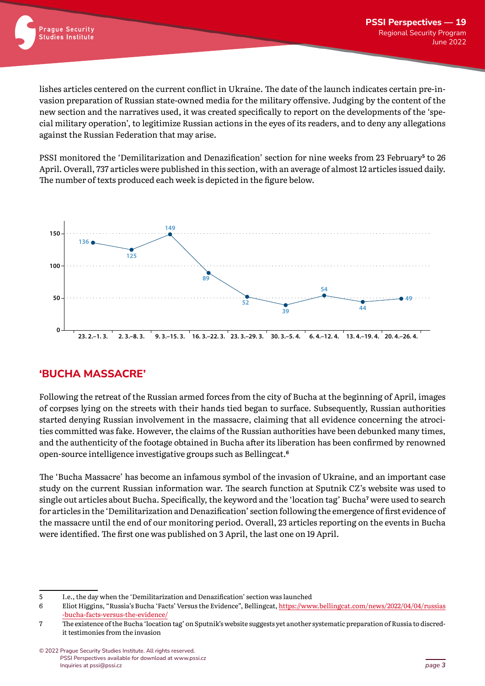lishes articles centered on the current conflict in Ukraine. The date of the launch indicates certain pre-invasion preparation of Russian state-owned media for the military offensive. Judging by the content of the new section and the narratives used, it was created specifically to report on the developments of the 'special military operation', to legitimize Russian actions in the eyes of its readers, and to deny any allegations against the Russian Federation that may arise.

PSSI monitored the 'Demilitarization and Denazification' section for nine weeks from 23 February**<sup>5</sup>** to 26 April. Overall, 737 articles were published in this section, with an average of almost 12 articles issued daily. The number of texts produced each week is depicted in the figure below.



## **'BUCHA MASSACRE'**

Following the retreat of the Russian armed forces from the city of Bucha at the beginning of April, images of corpses lying on the streets with their hands tied began to surface. Subsequently, Russian authorities started denying Russian involvement in the massacre, claiming that all evidence concerning the atrocities committed was fake. However, the claims of the Russian authorities have been debunked many times, and the authenticity of the footage obtained in Bucha after its liberation has been confirmed by renowned open-source intelligence investigative groups such as Bellingcat.**<sup>6</sup>**

The 'Bucha Massacre' has become an infamous symbol of the invasion of Ukraine, and an important case study on the current Russian information war. The search function at Sputnik CZ's website was used to single out articles about Bucha. Specifically, the keyword and the 'location tag' Bucha**<sup>7</sup>** were used to search for articles in the 'Demilitarization and Denazification' section following the emergence of first evidence of the massacre until the end of our monitoring period. Overall, 23 articles reporting on the events in Bucha were identified. The first one was published on 3 April, the last one on 19 April.

<sup>5</sup> I.e., the day when the 'Demilitarization and Denazification' section was launched

<sup>6</sup> Eliot Higgins, "Russia's Bucha 'Facts' Versus the Evidence", Bellingcat, https:/[/www.bellingcat.com](https://www.bellingcat.com/news/2022/04/04/russias-bucha-facts-versus-the-evidence/)/news/2022/04/04/russias [-bucha-facts-versus-the-evidence](https://www.bellingcat.com/news/2022/04/04/russias-bucha-facts-versus-the-evidence/)/

<sup>7</sup> The existence of the Bucha 'location tag' on Sputnik's website suggests yet another systematic preparation of Russia to discredit testimonies from the invasion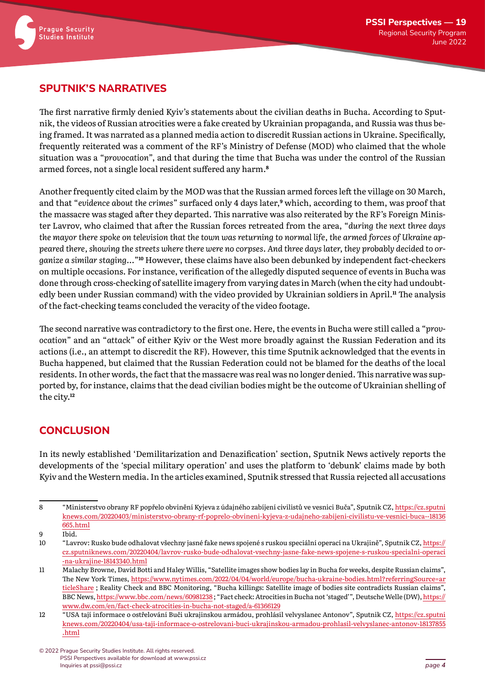

### **SPUTNIK'S NARRATIVES**

The first narrative firmly denied Kyiv's statements about the civilian deaths in Bucha. According to Sputnik, the videos of Russian atrocities were a fake created by Ukrainian propaganda, and Russia was thus being framed. It was narrated as a planned media action to discredit Russian actions in Ukraine. Specifically, frequently reiterated was a comment of the RF's Ministry of Defense (MOD) who claimed that the whole situation was a "*provocation*", and that during the time that Bucha was under the control of the Russian armed forces, not a single local resident suffered any harm.**<sup>8</sup>**

Another frequently cited claim by the MOD was that the Russian armed forces left the village on 30 March, and that "*evidence about the crimes*" surfaced only 4 days later,**9** which, according to them, was proof that the massacre was staged after they departed. This narrative was also reiterated by the RF's Foreign Minister Lavrov, who claimed that after the Russian forces retreated from the area, "*during the next three days the mayor there spoke on television that the town was returning to normal life, the armed forces of Ukraine appeared there, showing the streets where there were no corpses. And three days later, they probably decided to organize a similar staging…*"**10** However, these claims have also been debunked by independent fact-checkers on multiple occasions. For instance, verification of the allegedly disputed sequence of events in Bucha was done through cross-checking of satellite imagery from varying dates in March (when the city had undoubtedly been under Russian command) with the video provided by Ukrainian soldiers in April.**11** The analysis of the fact-checking teams concluded the veracity of the video footage.

The second narrative was contradictory to the first one. Here, the events in Bucha were still called a "*provocation*" and an "*attack*" of either Kyiv or the West more broadly against the Russian Federation and its actions (i.e., an attempt to discredit the RF). However, this time Sputnik acknowledged that the events in Bucha happened, but claimed that the Russian Federation could not be blamed for the deaths of the local residents. In other words, the fact that the massacre was real was no longer denied. This narrative was supported by, for instance, claims that the dead civilian bodies might be the outcome of Ukrainian shelling of the city.**<sup>12</sup>**

## **CONCLUSION**

In its newly established 'Demilitarization and Denazification' section, Sputnik News actively reports the developments of the 'special military operation' and uses the platform to 'debunk' claims made by both Kyiv and the Western media. In the articles examined, Sputnik stressed that Russia rejected all accusations

<sup>8</sup> "Ministerstvo obrany RF popřelo obvinění Kyjeva z údajného zabíjení civilistů ve vesnici Buča", Sputnik CZ, https:/[/cz.sputni](https://cz.sputniknews.com/20220403/ministerstvo-obrany-rf-poprelo-obvineni-kyjeva-z-udajneho-zabijeni-civilistu-ve-vesnici-buca--18136665.html) knews.com/20220403/[ministerstvo-obrany-rf-poprelo-obvineni-kyjeva-z-udajneho-zabijeni-civilistu-ve-vesnici-buca--18136](https://cz.sputniknews.com/20220403/ministerstvo-obrany-rf-poprelo-obvineni-kyjeva-z-udajneho-zabijeni-civilistu-ve-vesnici-buca--18136665.html) 665[.html](https://cz.sputniknews.com/20220403/ministerstvo-obrany-rf-poprelo-obvineni-kyjeva-z-udajneho-zabijeni-civilistu-ve-vesnici-buca--18136665.html)

<sup>9</sup> Ibid.

<sup>10</sup> "Lavrov: Rusko bude odhalovat všechny jasné fake news spojené s ruskou speciální operací na Ukrajině", Sputnik CZ, [https:](https://cz.sputniknews.com/20220404/lavrov-rusko-bude-odhalovat-vsechny-jasne-fake-news-spojene-s-ruskou-specialni-operaci-na-ukrajine-18143340.html)// cz.sputniknews.com/20220404/[lavrov-rusko-bude-odhalovat-vsechny-jasne-fake-news-spojene-s-ruskou-specialni-operaci](https://cz.sputniknews.com/20220404/lavrov-rusko-bude-odhalovat-vsechny-jasne-fake-news-spojene-s-ruskou-specialni-operaci-na-ukrajine-18143340.html) [-na-ukrajine-18143340.html](https://cz.sputniknews.com/20220404/lavrov-rusko-bude-odhalovat-vsechny-jasne-fake-news-spojene-s-ruskou-specialni-operaci-na-ukrajine-18143340.html)

<sup>11</sup> Malachy Browne, David Botti and Haley Willis, "Satellite images show bodies lay in Bucha for weeks, despite Russian claims", The New York Times, https://www.nytimes.com/2022/04/04/world/europe/[bucha-ukraine-bodies.html](https://www.nytimes.com/2022/04/04/world/europe/bucha-ukraine-bodies.html?referringSource=articleShare)?referringSource=ar [ticleShare](https://www.nytimes.com/2022/04/04/world/europe/bucha-ukraine-bodies.html?referringSource=articleShare) ; Reality Check and BBC Monitoring, "Bucha killings: Satellite image of bodies site contradicts Russian claims", BBC News, https:/[/www.bbc.com](https://www.bbc.com/news/60981238)/news/60981238 ; "Fact check: Atrocities in Bucha not 'staged'", Deutsche Welle (DW), [https:](https://www.dw.com/en/fact-check-atrocities-in-bucha-not-staged/a-61366129)// www.dw.com/en/[fact-check-atrocities-in-bucha-not-staged](https://www.dw.com/en/fact-check-atrocities-in-bucha-not-staged/a-61366129)/a-61366129

<sup>12</sup> "USA tají informace o ostřelování Buči ukrajinskou armádou, prohlásil velvyslanec Antonov", Sputnik CZ, https:/[/cz.sputni](https://cz.sputniknews.com/20220404/usa-taji-informace-o-ostrelovani-buci-ukrajinskou-armadou-prohlasil-velvyslanec-antonov-18137855.html) knews.com/20220404/[usa-taji-informace-o-ostrelovani-buci-ukrajinskou-armadou-prohlasil-velvyslanec-antonov-18137855](https://cz.sputniknews.com/20220404/usa-taji-informace-o-ostrelovani-buci-ukrajinskou-armadou-prohlasil-velvyslanec-antonov-18137855.html) [.html](https://cz.sputniknews.com/20220404/usa-taji-informace-o-ostrelovani-buci-ukrajinskou-armadou-prohlasil-velvyslanec-antonov-18137855.html)